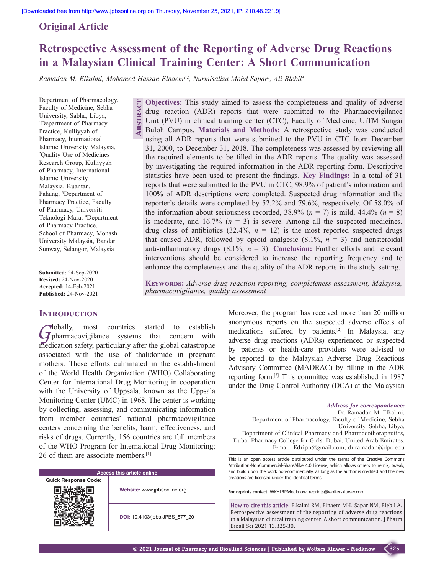**Abstract**

## **Original Article**

# **Retrospective Assessment of the Reporting of Adverse Drug Reactions in a Malaysian Clinical Training Center: A Short Communication**

*Ramadan M. Elkalmi, Mohamed Hassan Elnaem1,2, Nurmisaliza Mohd Sapar3 , Ali Blebil4*

Department of Pharmacology, Faculty of Medicine, Sebha University, Sabha, Libya, 1 Department of Pharmacy Practice, Kulliyyah of Pharmacy, International Islamic University Malaysia, 2 Quality Use of Medicines Research Group, Kulliyyah of Pharmacy, International Islamic University Malaysia, Kuantan, Pahang, <sup>3</sup>Department of Pharmacy Practice, Faculty of Pharmacy, Universiti Teknologi Mara, 4 Department of Pharmacy Practice, School of Pharmacy, Monash University Malaysia, Bandar Sunway, Selangor, Malaysia

**Submitted**: 24‑Sep‑2020 **Revised:** 24‑Nov‑2020 **Accepted:** 14-Feb-2021 **Published:** 24-Nov-2021

#### **INTRODUCTION**

Globally, most countries started to establish Gharmacovigilance systems that concern with medication safety, particularly after the global catastrophe associated with the use of thalidomide in pregnant mothers. These efforts culminated in the establishment of the World Health Organization (WHO) Collaborating Center for International Drug Monitoring in cooperation with the University of Uppsala, known as the Uppsala Monitoring Center (UMC) in 1968. The center is working by collecting, assessing, and communicating information from member countries' national pharmacovigilance centers concerning the benefits, harm, effectiveness, and risks of drugs. Currently, 156 countries are full members of the WHO Program for International Drug Monitoring; 26 of them are associate members.[1]

| <b>Access this article online</b> |                               |  |  |
|-----------------------------------|-------------------------------|--|--|
| <b>Quick Response Code:</b>       |                               |  |  |
|                                   | Website: www.jpbsonline.org   |  |  |
|                                   | DOI: 10.4103/jpbs.JPBS 577 20 |  |  |

**Objectives:** This study aimed to assess the completeness and quality of adverse drug reaction (ADR) reports that were submitted to the Pharmacovigilance Unit (PVU) in clinical training center (CTC), Faculty of Medicine, UiTM Sungai Buloh Campus. **Materials and Methods:** A retrospective study was conducted using all ADR reports that were submitted to the PVU in CTC from December 31, 2000, to December 31, 2018. The completeness was assessed by reviewing all the required elements to be filled in the ADR reports. The quality was assessed by investigating the required information in the ADR reporting form. Descriptive statistics have been used to present the findings. **Key Findings:** In a total of 31 reports that were submitted to the PVU in CTC, 98.9% of patient's information and 100% of ADR descriptions were completed. Suspected drug information and the reporter's details were completed by 52.2% and 79.6%, respectively. Of 58.0% of the information about seriousness recorded,  $38.9\%$  ( $n = 7$ ) is mild,  $44.4\%$  ( $n = 8$ ) is moderate, and  $16.7\%$  ( $n = 3$ ) is severe. Among all the suspected medicines, drug class of antibiotics  $(32.4\%, n = 12)$  is the most reported suspected drugs that caused ADR, followed by opioid analgesic  $(8.1\%, n = 3)$  and nonsteroidal anti-inflammatory drugs  $(8.1\% \text{, } n = 3)$ . **Conclusion:** Further efforts and relevant interventions should be considered to increase the reporting frequency and to enhance the completeness and the quality of the ADR reports in the study setting.

KEYWORDS: Adverse drug reaction reporting, completeness assessment, Malaysia, *pharmacovigilance, quality assessment*

> Moreover, the program has received more than 20 million anonymous reports on the suspected adverse effects of medications suffered by patients.[2] In Malaysia, any adverse drug reactions (ADRs) experienced or suspected by patients or health-care providers were advised to be reported to the Malaysian Adverse Drug Reactions Advisory Committee (MADRAC) by filling in the ADR reporting form.[3] This committee was established in 1987 under the Drug Control Authority (DCA) at the Malaysian

*Address for correspondence:* Dr. Ramadan M. Elkalmi, Department of Pharmacology, Faculty of Medicine, Sebha University, Sebha, Libya, Department of Clinical Pharmacy and Pharmacotherapeutics, Dubai Pharmacy College for Girls, Dubai, United Arab Emirates. E‑mail: Edriph@gmail.com; dr.ramadan@dpc.edu

This is an open access article distributed under the terms of the Creative Commons Attribution-NonCommercial-ShareAlike 4.0 License, which allows others to remix, tweak, and build upon the work non-commercially, as long as the author is credited and the new creations are licensed under the identical terms.

**For reprints contact:** WKHLRPMedknow\_reprints@wolterskluwer.com

**How to cite this article:** Elkalmi RM, Elnaem MH, Sapar NM, Blebil A. Retrospective assessment of the reporting of adverse drug reactions in a Malaysian clinical training center: A short communication. J Pharm Bioall Sci 2021;13:325-30.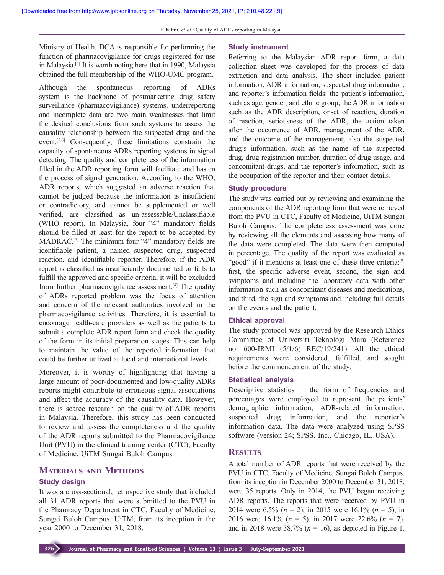Ministry of Health. DCA is responsible for performing the function of pharmacovigilance for drugs registered for use in Malaysia.[4] It is worth noting here that in 1990, Malaysia obtained the full membership of the WHO‑UMC program.

Although the spontaneous reporting of ADRs system is the backbone of postmarketing drug safety surveillance (pharmacovigilance) systems, underreporting and incomplete data are two main weaknesses that limit the desired conclusions from such systems to assess the causality relationship between the suspected drug and the event.[5,6] Consequently, these limitations constrain the capacity of spontaneous ADRs reporting systems in signal detecting. The quality and completeness of the information filled in the ADR reporting form will facilitate and hasten the process of signal generation. According to the WHO, ADR reports, which suggested an adverse reaction that cannot be judged because the information is insufficient or contradictory, and cannot be supplemented or well verified, are classified as un-assessable/Unclassifiable (WHO report). In Malaysia, four "4" mandatory fields should be filled at least for the report to be accepted by MADRAC.[7] The minimum four "4" mandatory fields are identifiable patient, a named suspected drug, suspected reaction, and identifiable reporter. Therefore, if the ADR report is classified as insufficiently documented or fails to fulfill the approved and specific criteria, it will be excluded from further pharmacovigilance assessment.[8] The quality of ADRs reported problem was the focus of attention and concern of the relevant authorities involved in the pharmacovigilance activities. Therefore, it is essential to encourage health-care providers as well as the patients to submit a complete ADR report form and check the quality of the form in its initial preparation stages. This can help to maintain the value of the reported information that could be further utilized at local and international levels.

Moreover, it is worthy of highlighting that having a large amount of poor-documented and low-quality ADRs reports might contribute to erroneous signal associations and affect the accuracy of the causality data. However, there is scarce research on the quality of ADR reports in Malaysia. Therefore, this study has been conducted to review and assess the completeness and the quality of the ADR reports submitted to the Pharmacovigilance Unit (PVU) in the clinical training center (CTC), Faculty of Medicine, UiTM Sungai Buloh Campus.

## **Materials and Methods Study design**

It was a cross‑sectional, retrospective study that included all 31 ADR reports that were submitted to the PVU in the Pharmacy Department in CTC, Faculty of Medicine, Sungai Buloh Campus, UiTM, from its inception in the year 2000 to December 31, 2018.

#### **Study instrument**

Referring to the Malaysian ADR report form, a data collection sheet was developed for the process of data extraction and data analysis. The sheet included patient information, ADR information, suspected drug information, and reporter's information fields: the patient's information, such as age, gender, and ethnic group; the ADR information such as the ADR description, onset of reaction, duration of reaction, seriousness of the ADR, the action taken after the occurrence of ADR, management of the ADR, and the outcome of the management; also the suspected drug's information, such as the name of the suspected drug, drug registration number, duration of drug usage, and concomitant drugs, and the reporter's information, such as the occupation of the reporter and their contact details.

#### **Study procedure**

The study was carried out by reviewing and examining the components of the ADR reporting form that were retrieved from the PVU in CTC, Faculty of Medicine, UiTM Sungai Buloh Campus. The completeness assessment was done by reviewing all the elements and assessing how many of the data were completed. The data were then computed in percentage. The quality of the report was evaluated as "good" if it mentions at least one of these three criteria:<sup>[9]</sup> first, the specific adverse event, second, the sign and symptoms and including the laboratory data with other information such as concomitant diseases and medications, and third, the sign and symptoms and including full details on the events and the patient.

#### **Ethical approval**

The study protocol was approved by the Research Ethics Committee of Universiti Teknologi Mara (Reference no: 600‑IRMI (5/1/6) REC/19/241). All the ethical requirements were considered, fulfilled, and sought before the commencement of the study.

#### **Statistical analysis**

Descriptive statistics in the form of frequencies and percentages were employed to represent the patients' demographic information, ADR-related information, suspected drug information, and the reporter's information data. The data were analyzed using SPSS software (version 24; SPSS, Inc., Chicago, IL, USA).

#### **Results**

A total number of ADR reports that were received by the PVU in CTC, Faculty of Medicine, Sungai Buloh Campus, from its inception in December 2000 to December 31, 2018, were 35 reports. Only in 2014, the PVU began receiving ADR reports. The reports that were received by PVU in 2014 were 6.5% (*n* = 2), in 2015 were 16.1% (*n* = 5), in 2016 were 16.1% (*n* = 5), in 2017 were 22.6% (*n* = 7), and in 2018 were  $38.7\%$  ( $n = 16$ ), as depicted in Figure 1.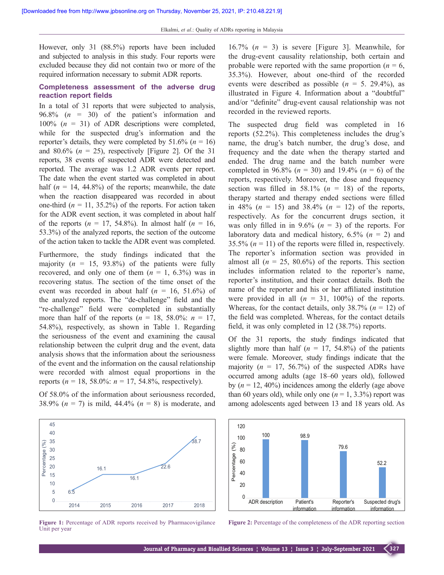However, only 31 (88.5%) reports have been included and subjected to analysis in this study. Four reports were excluded because they did not contain two or more of the required information necessary to submit ADR reports.

### **Completeness assessment of the adverse drug reaction report fields**

In a total of 31 reports that were subjected to analysis, 96.8% (*n* = 30) of the patient's information and 100% (*n* = 31) of ADR descriptions were completed, while for the suspected drug's information and the reporter's details, they were completed by  $51.6\%$  ( $n = 16$ ) and 80.6%  $(n = 25)$ , respectively [Figure 2]. Of the 31 reports, 38 events of suspected ADR were detected and reported. The average was 1.2 ADR events per report. The date when the event started was completed in about half  $(n = 14, 44.8\%)$  of the reports; meanwhile, the date when the reaction disappeared was recorded in about one-third  $(n = 11, 35.2\%)$  of the reports. For action taken for the ADR event section, it was completed in about half of the reports  $(n = 17, 54.8\%)$ . In almost half  $(n = 16,$ 53.3%) of the analyzed reports, the section of the outcome of the action taken to tackle the ADR event was completed.

Furthermore, the study findings indicated that the majority  $(n = 15, 93.8\%)$  of the patients were fully recovered, and only one of them  $(n = 1, 6.3\%)$  was in recovering status. The section of the time onset of the event was recorded in about half  $(n = 16, 51.6%)$  of the analyzed reports. The "de‑challenge" field and the "re‑challenge" field were completed in substantially more than half of the reports  $(n = 18, 58.0\%; n = 17,$ 54.8%), respectively, as shown in Table 1. Regarding the seriousness of the event and examining the causal relationship between the culprit drug and the event, data analysis shows that the information about the seriousness of the event and the information on the causal relationship were recorded with almost equal proportions in the reports ( $n = 18$ , 58.0%:  $n = 17$ , 54.8%, respectively).

Of 58.0% of the information about seriousness recorded, 38.9% (*n* = 7) is mild, 44.4% (*n* = 8) is moderate, and



**Figure 1:** Percentage of ADR reports received by Pharmacovigilance Unit per year

16.7%  $(n = 3)$  is severe [Figure 3]. Meanwhile, for the drug‑event causality relationship, both certain and probable were reported with the same proportion ( $n = 6$ , 35.3%). However, about one‑third of the recorded events were described as possible  $(n = 5, 29.4\%)$ , as illustrated in Figure 4. Information about a "doubtful" and/or "definite" drug‑event causal relationship was not recorded in the reviewed reports.

The suspected drug field was completed in 16 reports (52.2%). This completeness includes the drug's name, the drug's batch number, the drug's dose, and frequency and the date when the therapy started and ended. The drug name and the batch number were completed in 96.8% (*n* = 30) and 19.4% (*n* = 6) of the reports, respectively. Moreover, the dose and frequency section was filled in 58.1% ( $n = 18$ ) of the reports, therapy started and therapy ended sections were filled in 48% ( $n = 15$ ) and 38.4% ( $n = 12$ ) of the reports, respectively. As for the concurrent drugs section, it was only filled in in  $9.6\%$  ( $n = 3$ ) of the reports. For laboratory data and medical history, 6.5% (*n* = 2) and 35.5%  $(n = 11)$  of the reports were filled in, respectively. The reporter's information section was provided in almost all  $(n = 25, 80.6\%)$  of the reports. This section includes information related to the reporter's name, reporter's institution, and their contact details. Both the name of the reporter and his or her affiliated institution were provided in all  $(n = 31, 100\%)$  of the reports. Whereas, for the contact details, only  $38.7\%$  ( $n = 12$ ) of the field was completed. Whereas, for the contact details field, it was only completed in 12 (38.7%) reports.

Of the 31 reports, the study findings indicated that slightly more than half  $(n = 17, 54.8\%)$  of the patients were female. Moreover, study findings indicate that the majority  $(n = 17, 56.7%)$  of the suspected ADRs have occurred among adults (age 18–60 years old), followed by  $(n = 12, 40\%)$  incidences among the elderly (age above than 60 years old), while only one  $(n = 1, 3.3\%)$  report was among adolescents aged between 13 and 18 years old. As



**Figure 2:** Percentage of the completeness of the ADR reporting section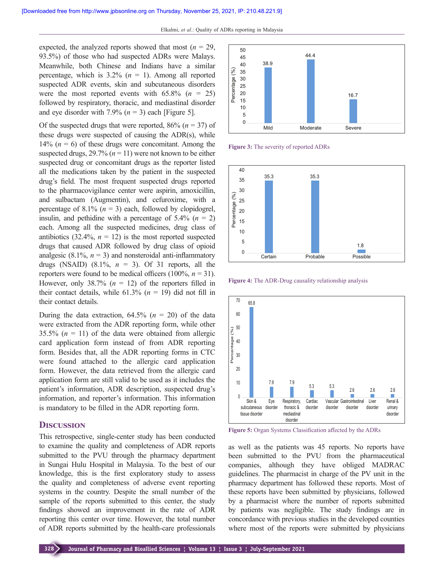expected, the analyzed reports showed that most  $(n = 29)$ , 93.5%) of those who had suspected ADRs were Malays. Meanwhile, both Chinese and Indians have a similar percentage, which is  $3.2\%$  ( $n = 1$ ). Among all reported suspected ADR events, skin and subcutaneous disorders were the most reported events with  $65.8\%$  ( $n = 25$ ) followed by respiratory, thoracic, and mediastinal disorder and eye disorder with 7.9%  $(n = 3)$  each [Figure 5].

Of the suspected drugs that were reported, 86% (*n* = 37) of these drugs were suspected of causing the ADR(s), while 14%  $(n = 6)$  of these drugs were concomitant. Among the suspected drugs,  $29.7\%$  ( $n = 11$ ) were not known to be either suspected drug or concomitant drugs as the reporter listed all the medications taken by the patient in the suspected drug's field. The most frequent suspected drugs reported to the pharmacovigilance center were aspirin, amoxicillin, and sulbactam (Augmentin), and cefuroxime, with a percentage of  $8.1\%$  ( $n = 3$ ) each, followed by clopidogrel, insulin, and pethidine with a percentage of  $5.4\%$  ( $n = 2$ ) each. Among all the suspected medicines, drug class of antibiotics  $(32.4\%, n = 12)$  is the most reported suspected drugs that caused ADR followed by drug class of opioid analgesic  $(8.1\%, n = 3)$  and nonsteroidal anti-inflammatory drugs (NSAID)  $(8.1\%, n = 3)$ . Of 31 reports, all the reporters were found to be medical officers  $(100\%, n = 31)$ . However, only  $38.7\%$  ( $n = 12$ ) of the reporters filled in their contact details, while  $61.3\%$  ( $n = 19$ ) did not fill in their contact details.

During the data extraction,  $64.5\%$  ( $n = 20$ ) of the data were extracted from the ADR reporting form, while other 35.5%  $(n = 11)$  of the data were obtained from allergic card application form instead of from ADR reporting form. Besides that, all the ADR reporting forms in CTC were found attached to the allergic card application form. However, the data retrieved from the allergic card application form are still valid to be used as it includes the patient's information, ADR description, suspected drug's information, and reporter's information. This information is mandatory to be filled in the ADR reporting form.

#### **Discussion**

This retrospective, single-center study has been conducted to examine the quality and completeness of ADR reports submitted to the PVU through the pharmacy department in Sungai Hulu Hospital in Malaysia. To the best of our knowledge, this is the first exploratory study to assess the quality and completeness of adverse event reporting systems in the country. Despite the small number of the sample of the reports submitted to this center, the study findings showed an improvement in the rate of ADR reporting this center over time. However, the total number of ADR reports submitted by the health-care professionals



**Figure 3:** The severity of reported ADRs



**Figure 4:** The ADR-Drug causality relationship analysis



**Figure 5:** Organ Systems Classification affected by the ADRs

as well as the patients was 45 reports. No reports have been submitted to the PVU from the pharmaceutical companies, although they have obliged MADRAC guidelines. The pharmacist in charge of the PV unit in the pharmacy department has followed these reports. Most of these reports have been submitted by physicians, followed by a pharmacist where the number of reports submitted by patients was negligible. The study findings are in concordance with previous studies in the developed counties where most of the reports were submitted by physicians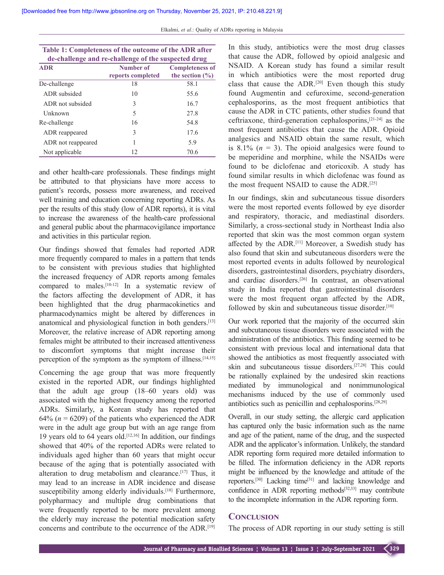| Table 1: Completeness of the outcome of the ADR after<br>de-challenge and re-challenge of the suspected drug |                                |                                               |  |
|--------------------------------------------------------------------------------------------------------------|--------------------------------|-----------------------------------------------|--|
| <b>ADR</b>                                                                                                   | Number of<br>reports completed | <b>Completeness of</b><br>the section $(\% )$ |  |
| De-challenge                                                                                                 | 18                             | 58.1                                          |  |
| ADR subsided                                                                                                 | 10                             | 55.6                                          |  |
| ADR not subsided                                                                                             | 3                              | 16.7                                          |  |
| <b>Unknown</b>                                                                                               | 5                              | 27.8                                          |  |
| Re-challenge                                                                                                 | 16                             | 54.8                                          |  |
| ADR reappeared                                                                                               | 3                              | 17.6                                          |  |
| ADR not reappeared                                                                                           | 1                              | 5.9                                           |  |
| Not applicable                                                                                               | 12                             | 70.6                                          |  |

and other health-care professionals. These findings might be attributed to that physicians have more access to patient's records, possess more awareness, and received well training and education concerning reporting ADRs. As per the results of this study (low of ADR reports), it is vital to increase the awareness of the health-care professional and general public about the pharmacovigilance importance and activities in this particular region.

Our findings showed that females had reported ADR more frequently compared to males in a pattern that tends to be consistent with previous studies that highlighted the increased frequency of ADR reports among females compared to males.<sup>[10-12]</sup> In a systematic review of the factors affecting the development of ADR, it has been highlighted that the drug pharmacokinetics and pharmacodynamics might be altered by differences in anatomical and physiological function in both genders.<sup>[13]</sup> Moreover, the relative increase of ADR reporting among females might be attributed to their increased attentiveness to discomfort symptoms that might increase their perception of the symptom as the symptom of illness.<sup>[14,15]</sup>

Concerning the age group that was more frequently existed in the reported ADR, our findings highlighted that the adult age group (18–60 years old) was associated with the highest frequency among the reported ADRs. Similarly, a Korean study has reported that 64% ( $n = 6209$ ) of the patients who experienced the ADR were in the adult age group but with an age range from 19 years old to 64 years old.<sup>[12,16]</sup> In addition, our findings showed that 40% of the reported ADRs were related to individuals aged higher than 60 years that might occur because of the aging that is potentially associated with alteration to drug metabolism and clearance.[17] Thus, it may lead to an increase in ADR incidence and disease susceptibility among elderly individuals.<sup>[18]</sup> Furthermore, polypharmacy and multiple drug combinations that were frequently reported to be more prevalent among the elderly may increase the potential medication safety concerns and contribute to the occurrence of the ADR.<sup>[19]</sup> In this study, antibiotics were the most drug classes that cause the ADR, followed by opioid analgesic and NSAID. A Korean study has found a similar result in which antibiotics were the most reported drug class that cause the ADR.[20] Even though this study found Augmentin and cefuroxime, second-generation cephalosporins, as the most frequent antibiotics that cause the ADR in CTC patients, other studies found that ceftriaxone, third‑generation cephalosporins,[21‑24] as the most frequent antibiotics that cause the ADR. Opioid analgesics and NSAID obtain the same result, which is  $8.1\%$  ( $n = 3$ ). The opioid analgesics were found to be meperidine and morphine, while the NSAIDs were found to be diclofenac and etoricoxib. A study has found similar results in which diclofenac was found as the most frequent NSAID to cause the ADR.[25]

In our findings, skin and subcutaneous tissue disorders were the most reported events followed by eye disorder and respiratory, thoracic, and mediastinal disorders. Similarly, a cross-sectional study in Northeast India also reported that skin was the most common organ system affected by the ADR.[11] Moreover, a Swedish study has also found that skin and subcutaneous disorders were the most reported events in adults followed by neurological disorders, gastrointestinal disorders, psychiatry disorders, and cardiac disorders.[26] In contrast, an observational study in India reported that gastrointestinal disorders were the most frequent organ affected by the ADR, followed by skin and subcutaneous tissue disorder.<sup>[10]</sup>

Our work reported that the majority of the occurred skin and subcutaneous tissue disorders were associated with the administration of the antibiotics. This finding seemed to be consistent with previous local and international data that showed the antibiotics as most frequently associated with skin and subcutaneous tissue disorders.[27,28] This could be rationally explained by the undesired skin reactions mediated by immunological and nonimmunological mechanisms induced by the use of commonly used antibiotics such as penicillin and cephalosporins.[28,29]

Overall, in our study setting, the allergic card application has captured only the basic information such as the name and age of the patient, name of the drug, and the suspected ADR and the applicator's information. Unlikely, the standard ADR reporting form required more detailed information to be filled. The information deficiency in the ADR reports might be influenced by the knowledge and attitude of the reporters.[30] Lacking time[31] and lacking knowledge and confidence in ADR reporting methods[32,33] may contribute to the incomplete information in the ADR reporting form.

### **Conclusion**

The process of ADR reporting in our study setting is still